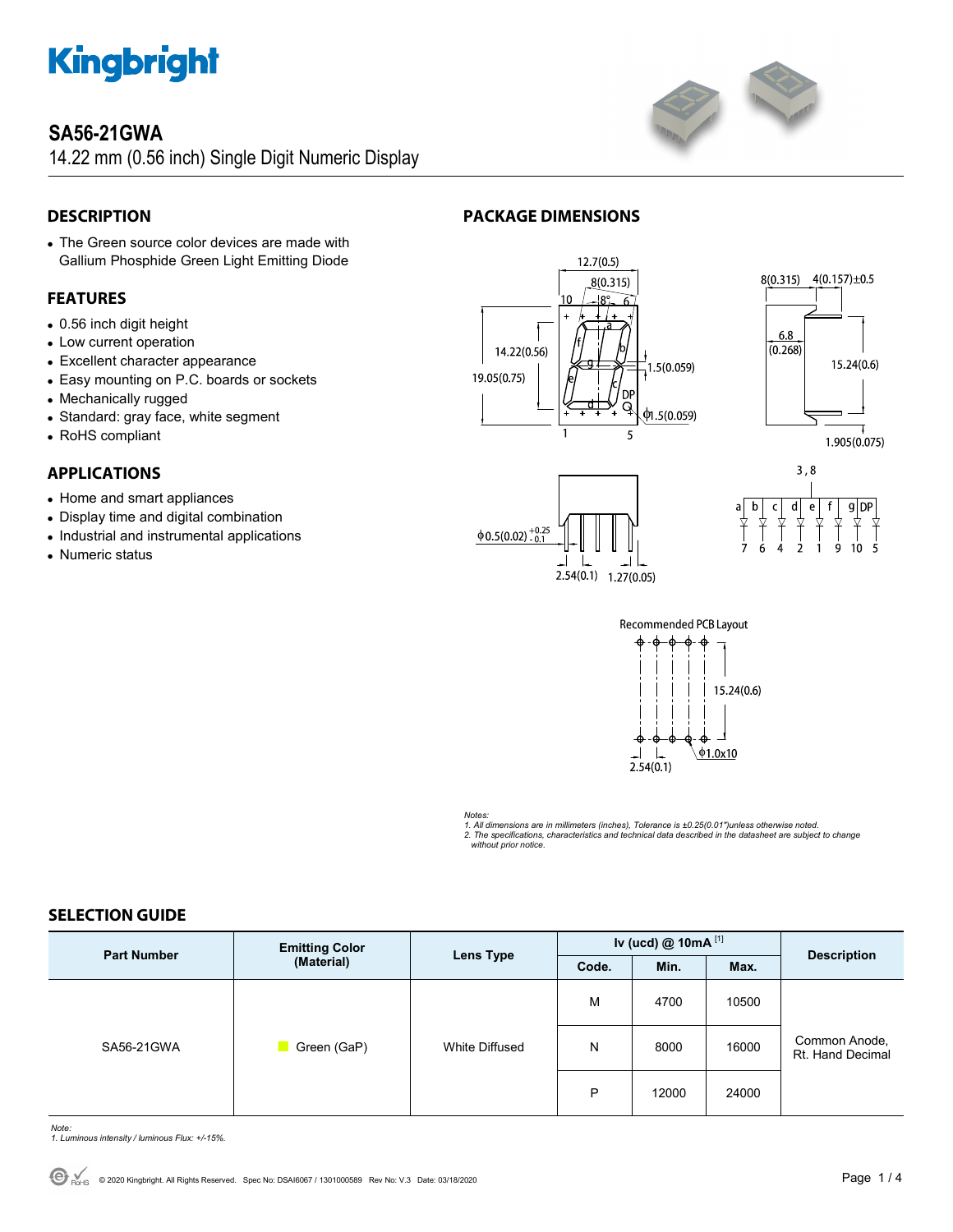

## **SA56-21GWA**

14.22 mm (0.56 inch) Single Digit Numeric Display



### **DESCRIPTION**

 The Green source color devices are made with Gallium Phosphide Green Light Emitting Diode

#### **FEATURES**

- 0.56 inch digit height
- Low current operation
- Excellent character appearance
- Easy mounting on P.C. boards or sockets
- Mechanically rugged
- Standard: gray face, white segment
- RoHS compliant

#### **APPLICATIONS**

- Home and smart appliances
- Display time and digital combination
- Industrial and instrumental applications
- Numeric status













#### *Notes:*

*1. All dimensions are in millimeters (inches), Tolerance is ±0.25(0.01")unless otherwise noted. 2. The specifications, characteristics and technical data described in the datasheet are subject to change without prior notice.* 

#### **SELECTION GUIDE**

| <b>Part Number</b> | <b>Emitting Color</b><br>(Material) | <b>Lens Type</b> | Iv (ucd) $@$ 10mA $^{[1]}$ |       |       |                                   |  |
|--------------------|-------------------------------------|------------------|----------------------------|-------|-------|-----------------------------------|--|
|                    |                                     |                  | Code.                      | Min.  | Max.  | <b>Description</b>                |  |
| SA56-21GWA         | Green (GaP)                         | White Diffused   | M                          | 4700  | 10500 |                                   |  |
|                    |                                     |                  | N                          | 8000  | 16000 | Common Anode,<br>Rt. Hand Decimal |  |
|                    |                                     |                  | P                          | 12000 | 24000 |                                   |  |

*Note: 1. Luminous intensity / luminous Flux: +/-15%.*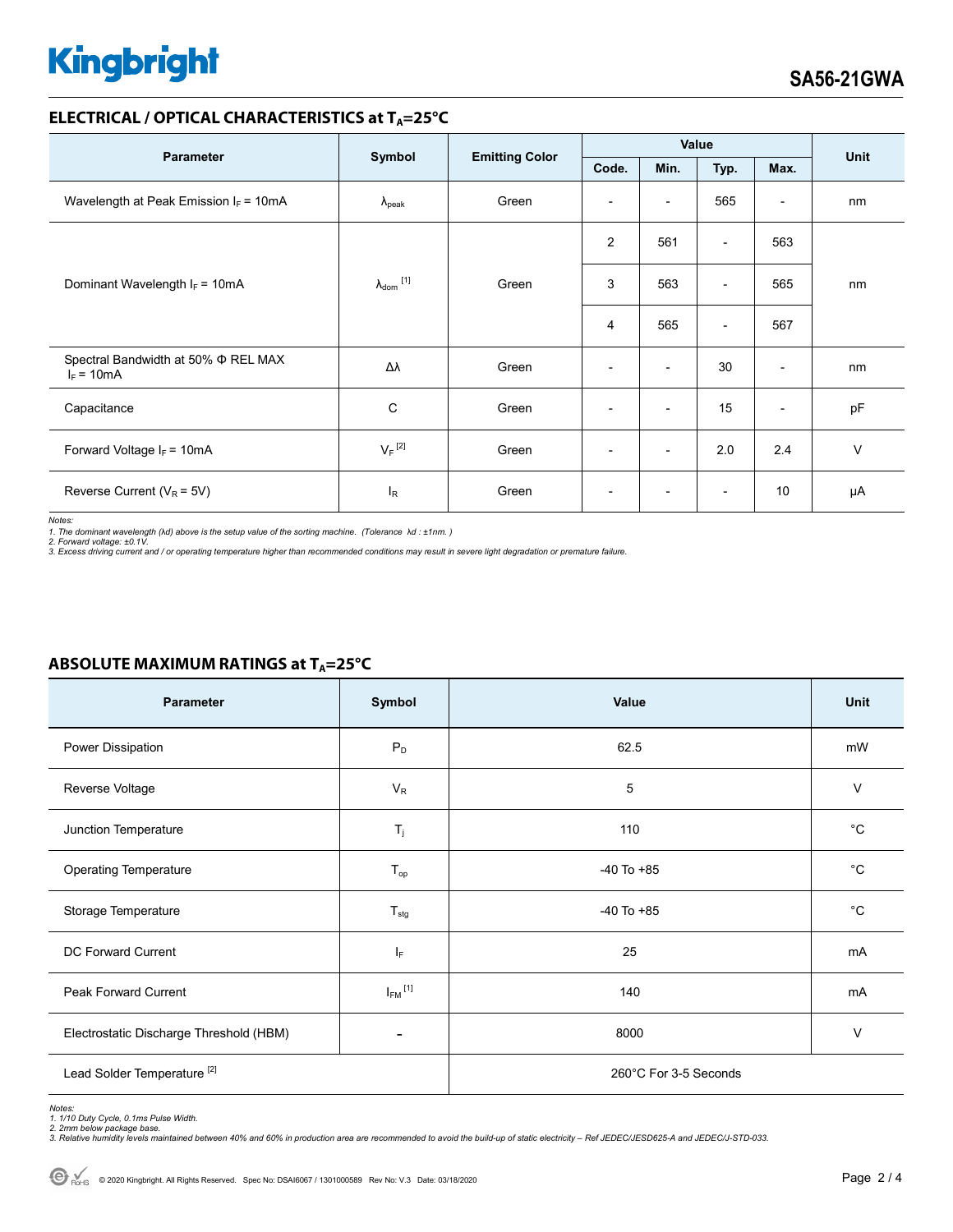# **Kingbright**

#### **ELECTRICAL / OPTICAL CHARACTERISTICS at TA=25°C**

| <b>Parameter</b>                                         | Symbol                       | <b>Emitting Color</b> | Value                    |                          |                          |                          | Unit   |
|----------------------------------------------------------|------------------------------|-----------------------|--------------------------|--------------------------|--------------------------|--------------------------|--------|
|                                                          |                              |                       | Code.                    | Min.                     | Typ.                     | Max.                     |        |
| Wavelength at Peak Emission $I_F = 10mA$                 | $\lambda_{\rm peak}$         | Green                 | $\overline{\phantom{a}}$ | $\overline{\phantom{a}}$ | 565                      | $\overline{\phantom{a}}$ | nm     |
|                                                          | $\lambda_{\mathsf{dom}}$ [1] | Green                 | $\overline{2}$           | 561                      | $\overline{\phantom{0}}$ | 563                      | nm     |
| Dominant Wavelength $I_F = 10mA$                         |                              |                       | 3                        | 563                      | $\overline{\phantom{0}}$ | 565                      |        |
|                                                          |                              |                       | 4                        | 565                      | $\overline{\phantom{a}}$ | 567                      |        |
| Spectral Bandwidth at 50% $\Phi$ REL MAX<br>$I_F = 10mA$ | Δλ                           | Green                 | $\overline{\phantom{a}}$ | $\overline{\phantom{a}}$ | 30                       | $\overline{\phantom{a}}$ | nm     |
| Capacitance                                              | C                            | Green                 | $\overline{\phantom{a}}$ | $\overline{\phantom{a}}$ | 15                       | $\overline{\phantom{a}}$ | pF     |
| Forward Voltage $I_F = 10mA$                             | $V_F$ <sup>[2]</sup>         | Green                 | $\overline{\phantom{a}}$ | $\overline{\phantom{a}}$ | 2.0                      | 2.4                      | $\vee$ |
| Reverse Current ( $V_R$ = 5V)                            | l <sub>R</sub>               | Green                 |                          |                          |                          | 10                       | μA     |

*Notes:* 

1. The dominant wavelength (λd) above is the setup value of the sorting machine. (Tolerance λd : ±1nm. )<br>2. Forward voltage: ±0.1V.<br>3. Excess driving current and / or operating temperature higher than recommended conditio

| Parameter                               | Symbol                  | Value          | Unit        |
|-----------------------------------------|-------------------------|----------------|-------------|
| Power Dissipation                       | $P_D$                   | 62.5           | mW          |
| Reverse Voltage                         | $V_R$                   | 5              | V           |
| Junction Temperature                    | $T_{j}$                 | 110            | $^{\circ}C$ |
| <b>Operating Temperature</b>            | $T_{\mathsf{op}}$       | $-40$ To $+85$ | $^{\circ}C$ |
| Storage Temperature                     | $T_{\text{stg}}$        | $-40$ To $+85$ | $^{\circ}C$ |
| DC Forward Current                      | ΙF                      | 25             | mA          |
| Peak Forward Current                    | $I_{FM}$ <sup>[1]</sup> | 140            | mA          |
| Electrostatic Discharge Threshold (HBM) |                         | 8000           | $\vee$      |
| Lead Solder Temperature <sup>[2]</sup>  | 260°C For 3-5 Seconds   |                |             |

#### **ABSOLUTE MAXIMUM RATINGS at T<sub>A</sub>=25°C**

Notes:<br>1. 1/10 Duty Cycle, 0.1ms Pulse Width.<br>2. 2mm below package base.<br>3. Relative humidity levels maintained between 40% and 60% in production area are recommended to avoid the build-up of static electricity – Ref JEDEC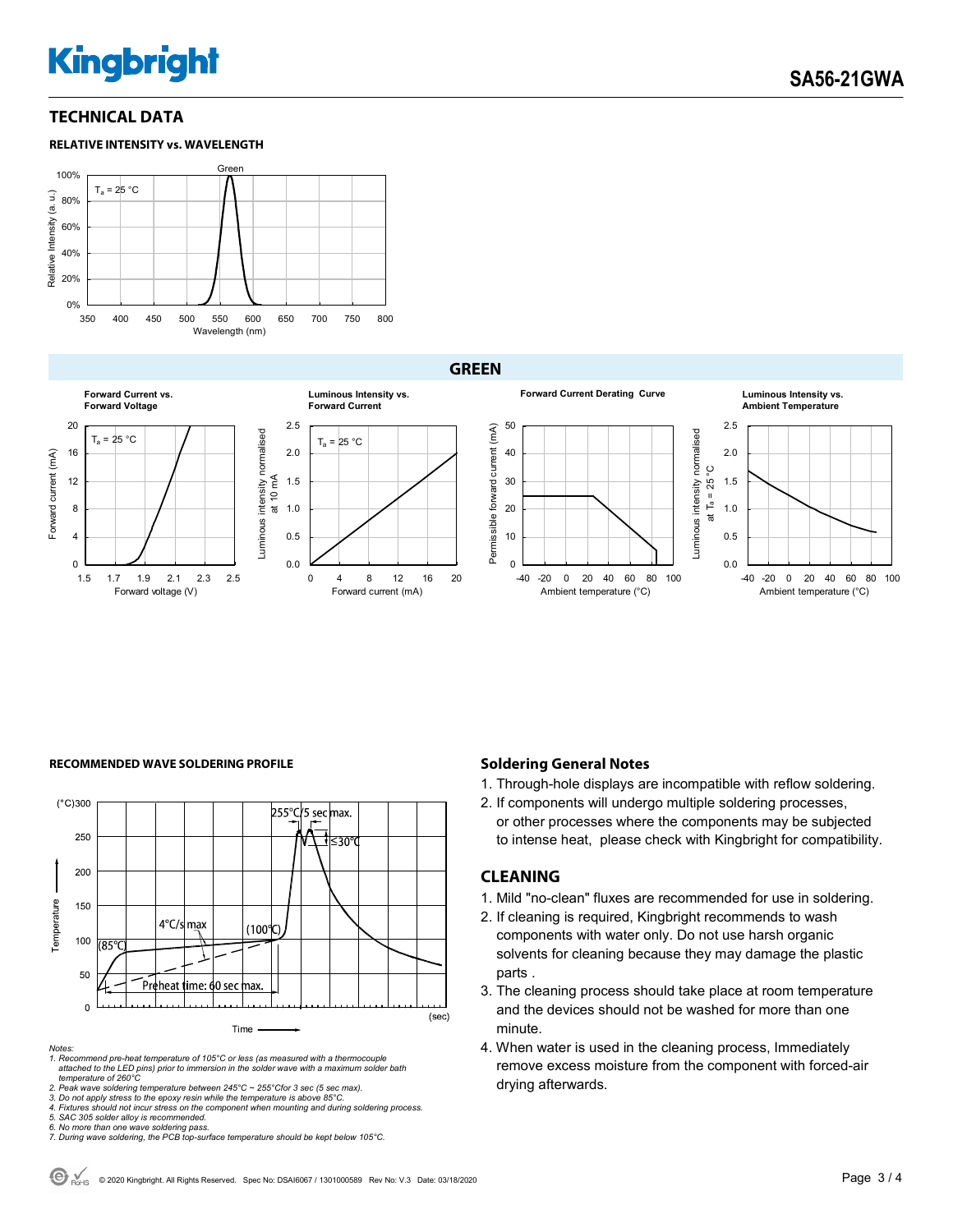# **Kingbright**

#### **TECHNICAL DATA**





**GREEN**







#### **RECOMMENDED WAVE SOLDERING PROFILE <b>A CONDUCT A CONDUCT SOLDERING PROFILE Soldering General Notes**



*Notes:* 

*1. Recommend pre-heat temperature of 105°C or less (as measured with a thermocouple attached to the LED pins) prior to immersion in the solder wave with a maximum solder bath temperature of 260°C* 

2. Peak wave soldering temperature between 245°C ~ 255°Cfor 3 sec (5 sec max).<br>3. Do not apply stress to the epoxy resin while the temperature is above 85°C.<br>4. Fixtures should not incur stress on the component when mounti

- 1. Through-hole displays are incompatible with reflow soldering.
- 2. If components will undergo multiple soldering processes, or other processes where the components may be subjected to intense heat, please check with Kingbright for compatibility.

#### **CLEANING**

- 1. Mild "no-clean" fluxes are recommended for use in soldering.
- 2. If cleaning is required, Kingbright recommends to wash components with water only. Do not use harsh organic solvents for cleaning because they may damage the plastic parts .
- 3. The cleaning process should take place at room temperature and the devices should not be washed for more than one minute.
- 4. When water is used in the cleaning process, Immediately remove excess moisture from the component with forced-air drying afterwards.

*<sup>5.</sup> SAC 305 solder alloy is recommended.* 

*<sup>6.</sup> No more than one wave soldering pass. 7. During wave soldering, the PCB top-surface temperature should be kept below 105°C.*